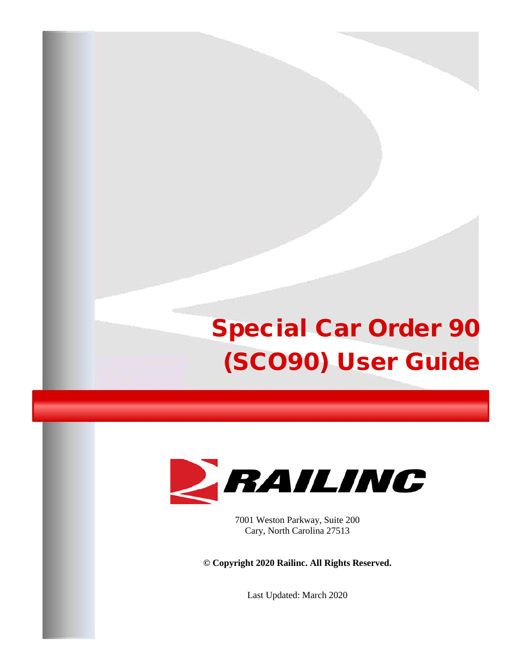# Special Car Order 90 (SCO90) User Guide



7001 Weston Parkway, Suite 200 Cary, North Carolina 27513

**© Copyright 2020 Railinc. All Rights Reserved.**

Last Updated: March 2020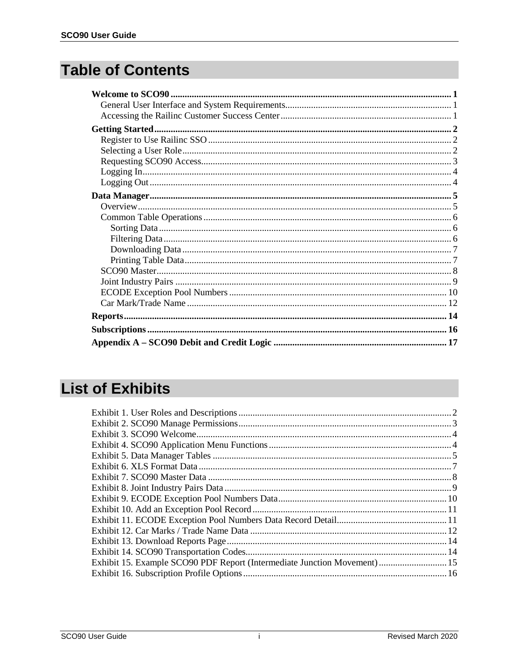### **Table of Contents**

### **List of Exhibits**

| Exhibit 15. Example SCO90 PDF Report (Intermediate Junction Movement)  15 |  |
|---------------------------------------------------------------------------|--|
|                                                                           |  |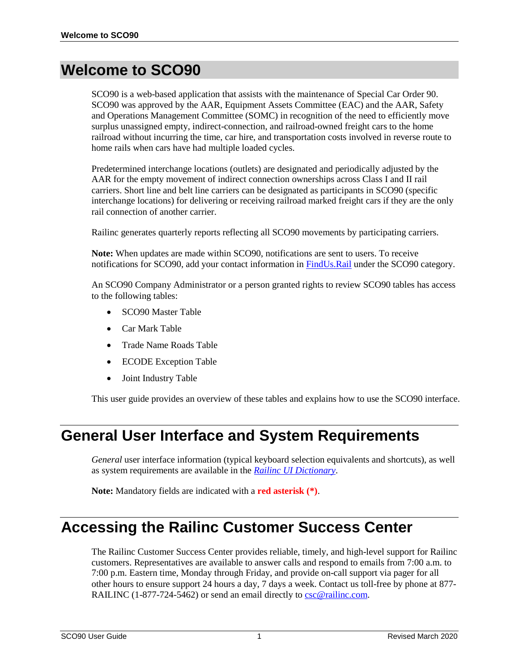#### <span id="page-2-0"></span>**Welcome to SCO90**

SCO90 is a web-based application that assists with the maintenance of Special Car Order 90. SCO90 was approved by the AAR, Equipment Assets Committee (EAC) and the AAR, Safety and Operations Management Committee (SOMC) in recognition of the need to efficiently move surplus unassigned empty, indirect-connection, and railroad-owned freight cars to the home railroad without incurring the time, car hire, and transportation costs involved in reverse route to home rails when cars have had multiple loaded cycles.

Predetermined interchange locations (outlets) are designated and periodically adjusted by the AAR for the empty movement of indirect connection ownerships across Class I and II rail carriers. Short line and belt line carriers can be designated as participants in SCO90 (specific interchange locations) for delivering or receiving railroad marked freight cars if they are the only rail connection of another carrier.

Railinc generates quarterly reports reflecting all SCO90 movements by participating carriers.

**Note:** When updates are made within SCO90, notifications are sent to users. To receive notifications for SCO90, add your contact information in [FindUs.Rail](https://www.railinc.com/rportal/findusrail) under the SCO90 category.

An SCO90 Company Administrator or a person granted rights to review SCO90 tables has access to the following tables:

- SCO90 Master Table
- Car Mark Table
- Trade Name Roads Table
- ECODE Exception Table
- Joint Industry Table

This user guide provides an overview of these tables and explains how to use the SCO90 interface.

#### <span id="page-2-1"></span>**General User Interface and System Requirements**

*General* user interface information (typical keyboard selection equivalents and shortcuts), as well as system requirements are available in the *[Railinc UI Dictionary](https://www.railinc.com/rportal/documents/18/289202/Railinc_UI_Dictionary.pdf)*.

**Note:** Mandatory fields are indicated with a **red asterisk (\*)**.

#### <span id="page-2-2"></span>**Accessing the Railinc Customer Success Center**

The Railinc Customer Success Center provides reliable, timely, and high-level support for Railinc customers. Representatives are available to answer calls and respond to emails from 7:00 a.m. to 7:00 p.m. Eastern time, Monday through Friday, and provide on-call support via pager for all other hours to ensure support 24 hours a day, 7 days a week. Contact us toll-free by phone at 877 RAILINC (1-877-724-5462) or send an email directly t[o csc@railinc.com.](mailto:csc@railinc.com)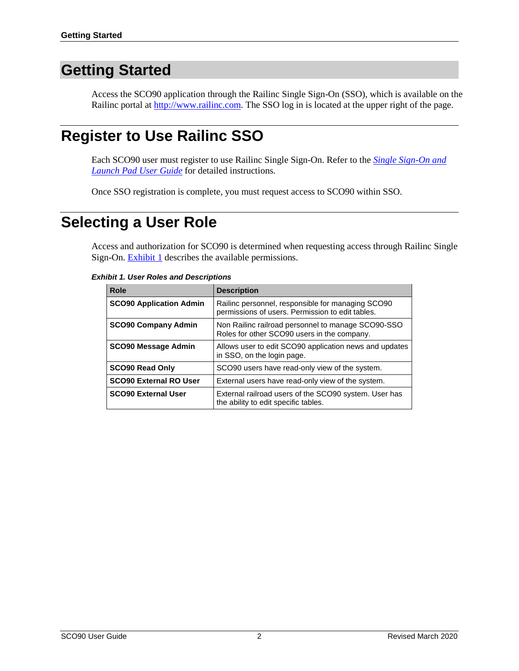### <span id="page-3-0"></span>**Getting Started**

Access the SCO90 application through the Railinc Single Sign-On (SSO), which is available on the Railinc portal at [http://www.railinc.com.](http://www.railinc.com/) The SSO log in is located at the upper right of the page.

### <span id="page-3-1"></span>**Register to Use Railinc SSO**

Each SCO90 user must register to use Railinc Single Sign-On. Refer to the *[Single Sign-On and](https://www.railinc.com/rportal/documents/18/260653/SSOUserGuide.pdf)  [Launch Pad User Guide](https://www.railinc.com/rportal/documents/18/260653/SSOUserGuide.pdf)* for detailed instructions.

Once SSO registration is complete, you must request access to SCO90 within SSO.

### <span id="page-3-2"></span>**Selecting a User Role**

Access and authorization for SCO90 is determined when requesting access through Railinc Single Sign-On. **Exhibit 1** describes the available permissions.

<span id="page-3-3"></span>

|  |  |  |  | <b>Exhibit 1. User Roles and Descriptions</b> |
|--|--|--|--|-----------------------------------------------|
|--|--|--|--|-----------------------------------------------|

| Role                           | <b>Description</b>                                                                                    |
|--------------------------------|-------------------------------------------------------------------------------------------------------|
| <b>SCO90 Application Admin</b> | Railinc personnel, responsible for managing SCO90<br>permissions of users. Permission to edit tables. |
| <b>SCO90 Company Admin</b>     | Non Railinc railroad personnel to manage SCO90-SSO<br>Roles for other SCO90 users in the company.     |
| <b>SCO90 Message Admin</b>     | Allows user to edit SCO90 application news and updates<br>in SSO, on the login page.                  |
| <b>SCO90 Read Only</b>         | SCO90 users have read-only view of the system.                                                        |
| <b>SCO90 External RO User</b>  | External users have read-only view of the system.                                                     |
| <b>SCO90 External User</b>     | External railroad users of the SCO90 system. User has<br>the ability to edit specific tables.         |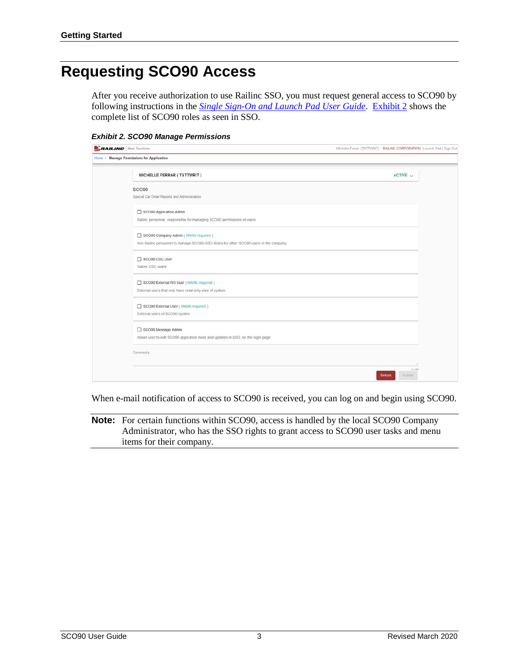### <span id="page-4-0"></span>**Requesting SCO90 Access**

After you receive authorization to use Railinc SSO, you must request general access to SCO90 by following instructions in the *[Single Sign-On and Launch Pad User Guide](https://www.railinc.com/rportal/documents/18/260653/SSOUserGuide.pdf)*. [Exhibit 2](#page-4-1) shows the complete list of SCO90 roles as seen in SSO.

<span id="page-4-1"></span>*Exhibit 2. SCO90 Manage Permissions*

| <b>ERAILING</b> User Services                                                        | Michelle Ferrar (TSTTWRIT): RAILINC CORPORATION   Launch Pad   Sign Out |
|--------------------------------------------------------------------------------------|-------------------------------------------------------------------------|
| Home / Manage Permissions for Application                                            |                                                                         |
| MICHELLE FERRAR ( TSTTWRIT)                                                          | ACTIVE $\vee$                                                           |
| SCO <sub>90</sub>                                                                    |                                                                         |
| Special Car Order Reports and Administration                                         |                                                                         |
| SCO90 Application Admin                                                              |                                                                         |
| Railinc personnel, responsible for managing SCO90 permissions of users.              |                                                                         |
| SCO90 Company Admin ( MARK required )                                                |                                                                         |
| Non Railinc personnel to manage SCO90-SSO Roles for other SCO90 users in the company |                                                                         |
| SCO90 CSC User                                                                       |                                                                         |
| Railinc CSC users                                                                    |                                                                         |
| SCO90 External RO User (MARK required )                                              |                                                                         |
| External users that only have read-only view of system.                              |                                                                         |
| SCO90 External User ( MARK required )                                                |                                                                         |
| External users of SCO90 system.                                                      |                                                                         |
| SCO90 Message Admin                                                                  |                                                                         |
| Allows user to edit SCO90 appication news and updates in SSO, on the login page.     |                                                                         |
| Comments                                                                             |                                                                         |
|                                                                                      |                                                                         |
|                                                                                      | <b>Urunni</b><br>Return<br><b>Submit</b>                                |

When e-mail notification of access to SCO90 is received, you can log on and begin using SCO90.

**Note:** For certain functions within SCO90, access is handled by the local SCO90 Company Administrator, who has the SSO rights to grant access to SCO90 user tasks and menu items for their company.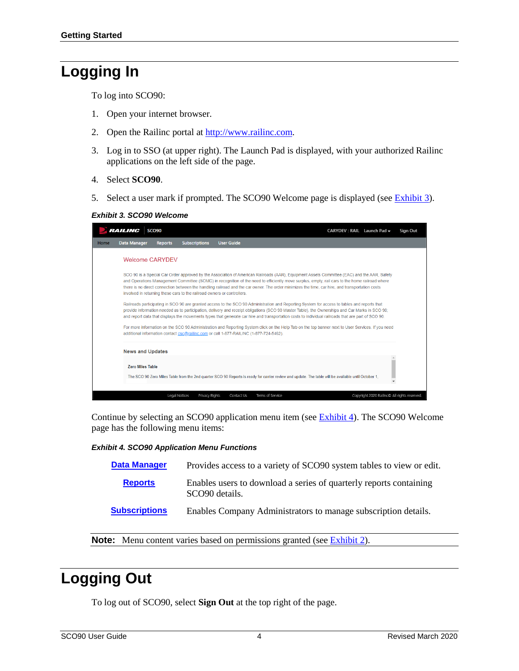### <span id="page-5-0"></span>**Logging In**

To log into SCO90:

- 1. Open your internet browser.
- 2. Open the Railinc portal at [http://www.railinc.com.](http://www.railinc.com/)
- 3. Log in to SSO (at upper right). The Launch Pad is displayed, with your authorized Railinc applications on the left side of the page.
- 4. Select **SCO90**.
- 5. Select a user mark if prompted. The SCO90 Welcome page is displayed (se[e Exhibit 3\)](#page-5-2).

<span id="page-5-2"></span>*Exhibit 3. SCO90 Welcome*

|      | <i><b>RAILINC</b></i>   | <b>SCO90</b>   |                                                                                        |                   |                  |                                                                                                                                                                                                                                                                                                                                                                                                                                                       | CARYDEV: RAIL Launch Pad $\rightarrow$       | <b>Sign Out</b> |
|------|-------------------------|----------------|----------------------------------------------------------------------------------------|-------------------|------------------|-------------------------------------------------------------------------------------------------------------------------------------------------------------------------------------------------------------------------------------------------------------------------------------------------------------------------------------------------------------------------------------------------------------------------------------------------------|----------------------------------------------|-----------------|
| Home | <b>Data Manager</b>     | <b>Reports</b> | <b>Subscriptions</b>                                                                   | <b>User Guide</b> |                  |                                                                                                                                                                                                                                                                                                                                                                                                                                                       |                                              |                 |
|      | <b>Welcome CARYDEV</b>  |                |                                                                                        |                   |                  |                                                                                                                                                                                                                                                                                                                                                                                                                                                       |                                              |                 |
|      |                         |                | involved in returning these cars to the railroad owners or controllers.                |                   |                  | SCO 90 is a Special Car Order approved by the Association of American Railroads (AAR), Equipment Assets Committee (EAC) and the AAR, Safety<br>and Operations Management Committee (SOMC) in recognition of the need to efficiently move surplus, empty, rail cars to the home railroad where<br>there is no direct connection between the handling railroad and the car owner. The order minimizes the time, car hire, and transportation costs      |                                              |                 |
|      |                         |                |                                                                                        |                   |                  | Railroads participating in SCO 90 are granted access to the SCO 90 Administration and Reporting System for access to tables and reports that<br>provide information needed as to participation, delivery and receipt obligations (SCO 90 Master Table), the Ownerships and Car Marks in SCO 90;<br>and report data that displays the movements types that generate car hire and transportation costs to individual railroads that are part of SCO 90. |                                              |                 |
|      |                         |                | additional information contact csc@railinc.com or call 1-877-RAILINC (1-877-724-5462). |                   |                  | For more information on the SCO 90 Administration and Reporting System click on the Help Tab on the top banner next to User Services. If you need                                                                                                                                                                                                                                                                                                     |                                              |                 |
|      | <b>News and Updates</b> |                |                                                                                        |                   |                  |                                                                                                                                                                                                                                                                                                                                                                                                                                                       |                                              |                 |
|      | <b>Zero Miles Table</b> |                |                                                                                        |                   |                  |                                                                                                                                                                                                                                                                                                                                                                                                                                                       |                                              |                 |
|      |                         |                |                                                                                        |                   |                  | The SCO 90 Zero Miles Table from the 2nd quarter SCO 90 Reports is ready for carrier review and update. The table will be available until October 1,                                                                                                                                                                                                                                                                                                  |                                              |                 |
|      |                         |                | Legal Notices<br>Privacy Rights                                                        | Contact Us        | Terms of Service |                                                                                                                                                                                                                                                                                                                                                                                                                                                       | Copyright 2020 Railinc© All rights reserved. |                 |

Continue by selecting an SCO90 application menu item (see [Exhibit 4\)](#page-5-3). The SCO90 Welcome page has the following menu items:

#### <span id="page-5-3"></span>*Exhibit 4. SCO90 Application Menu Functions*

| <b>Data Manager</b>  | Provides access to a variety of SCO90 system tables to view or edit.                             |
|----------------------|--------------------------------------------------------------------------------------------------|
| <b>Reports</b>       | Enables users to download a series of quarterly reports containing<br>SCO <sub>90</sub> details. |
| <b>Subscriptions</b> | Enables Company Administrators to manage subscription details.                                   |

**Note:** Menu content varies based on permissions granted (see **Exhibit 2**).

### <span id="page-5-1"></span>**Logging Out**

To log out of SCO90, select **Sign Out** at the top right of the page.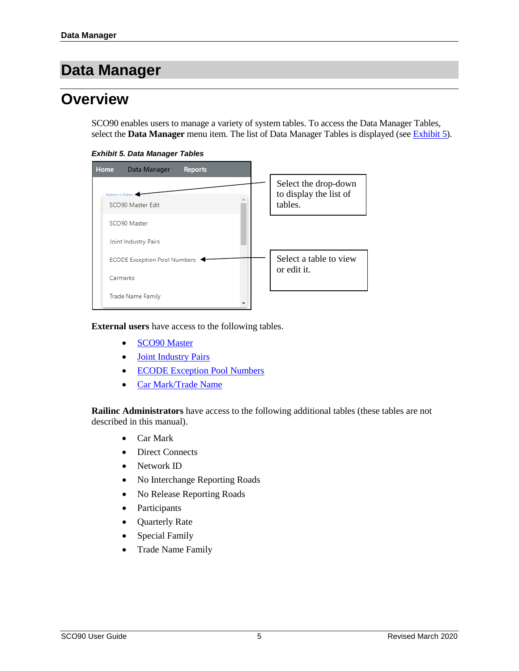#### <span id="page-6-0"></span>**Data Manager**

#### <span id="page-6-1"></span>**Overview**

SCO90 enables users to manage a variety of system tables. To access the Data Manager Tables, select the **Data Manager** menu item. The list of Data Manager Tables is displayed (see [Exhibit 5\)](#page-6-2).

*Exhibit 5. Data Manager Tables*

<span id="page-6-2"></span>

**External users** have access to the following tables.

- [SCO90 Master](#page-9-0)
- [Joint Industry Pairs](#page-10-0)
- [ECODE Exception Pool Numbers](#page-11-0)
- [Car Mark/Trade Name](#page-13-0)

**Railinc Administrators** have access to the following additional tables (these tables are not described in this manual).

- Car Mark
- Direct Connects
- Network ID
- No Interchange Reporting Roads
- No Release Reporting Roads
- Participants
- Quarterly Rate
- Special Family
- Trade Name Family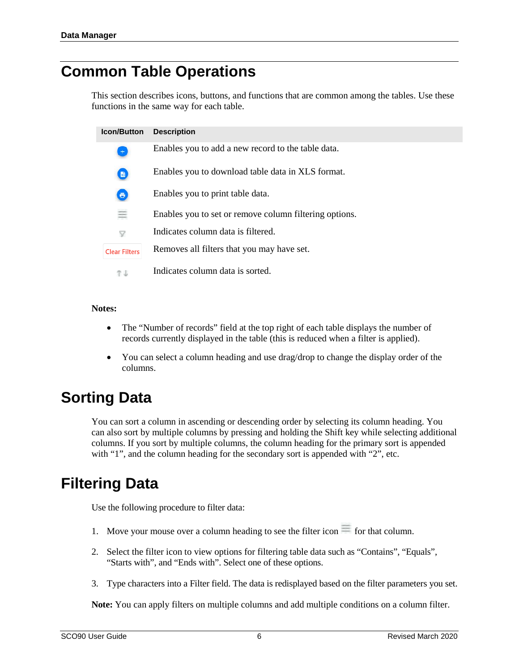#### <span id="page-7-0"></span>**Common Table Operations**

This section describes icons, buttons, and functions that are common among the tables. Use these functions in the same way for each table.

| <b>Icon/Button</b>   | <b>Description</b>                                     |
|----------------------|--------------------------------------------------------|
| $\pm$                | Enables you to add a new record to the table data.     |
| $\blacksquare$       | Enables you to download table data in XLS format.      |
| $\bullet$            | Enables you to print table data.                       |
|                      | Enables you to set or remove column filtering options. |
| $\mathcal{A}$        | Indicates column data is filtered.                     |
| <b>Clear Filters</b> | Removes all filters that you may have set.             |
| T i                  | Indicates column data is sorted.                       |

#### **Notes:**

- The "Number of records" field at the top right of each table displays the number of records currently displayed in the table (this is reduced when a filter is applied).
- You can select a column heading and use drag/drop to change the display order of the columns.

#### <span id="page-7-1"></span>**Sorting Data**

You can sort a column in ascending or descending order by selecting its column heading. You can also sort by multiple columns by pressing and holding the Shift key while selecting additional columns. If you sort by multiple columns, the column heading for the primary sort is appended with "1", and the column heading for the secondary sort is appended with "2", etc.

### <span id="page-7-2"></span>**Filtering Data**

Use the following procedure to filter data:

- 1. Move your mouse over a column heading to see the filter icon  $\equiv$  for that column.
- 2. Select the filter icon to view options for filtering table data such as "Contains", "Equals", "Starts with", and "Ends with". Select one of these options.
- 3. Type characters into a Filter field. The data is redisplayed based on the filter parameters you set.

**Note:** You can apply filters on multiple columns and add multiple conditions on a column filter.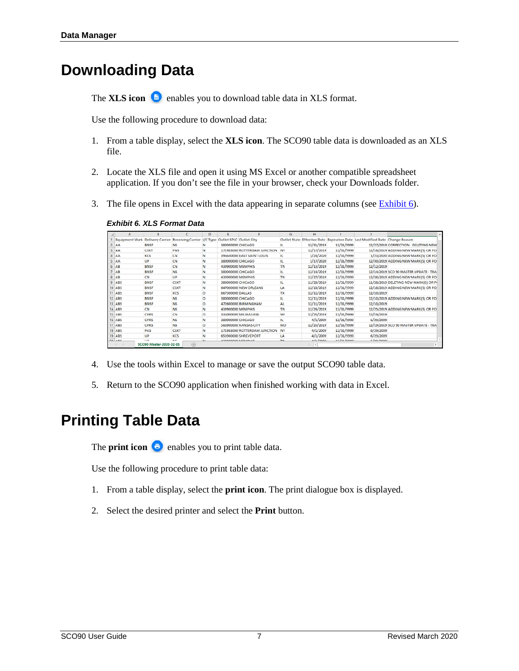### <span id="page-8-0"></span>**Downloading Data**

The **XLS** icon **a** enables you to download table data in XLS format.

Use the following procedure to download data:

- 1. From a table display, select the **XLS icon**. The SCO90 table data is downloaded as an XLS file.
- 2. Locate the XLS file and open it using MS Excel or another compatible spreadsheet application. If you don't see the file in your browser, check your Downloads folder.
- <span id="page-8-2"></span>3. The file opens in Excel with the data appearing in separate columns (see  $\frac{Exhibit 6}{.}$ ).

|    | А                     | B                       |                                   | D       | Е                                       |                              | G          | н                   |                  |                                                                              |                                       | ۰ |
|----|-----------------------|-------------------------|-----------------------------------|---------|-----------------------------------------|------------------------------|------------|---------------------|------------------|------------------------------------------------------------------------------|---------------------------------------|---|
|    | <b>Equipment Mark</b> | <b>Delivery Carrier</b> | <b>Receiving Carrier I/C Type</b> |         | Outlet SPLC Outlet City                 |                              |            |                     |                  | Outlet State Effective Date Expiration Date Last Modified Date Change Reason |                                       |   |
|    | AA                    | <b>BNSF</b>             | <b>NS</b>                         | N       | 380000000 CHICAGO                       |                              | н          | 12/31/2019          | 12/31/9999       |                                                                              | 12/27/2019 CORRECTION - DELETING NEW  |   |
|    | AA                    | <b>CSXT</b>             | PAS                               | N       |                                         | 171983000 ROTTERDAM JUNCTION | NY         | 12/17/2019          | 12/31/9999       |                                                                              | 12/16/2019 ADDING NEW MARK(S) OR PO   |   |
|    | <b>AA</b>             | KCS                     | CN                                | N       |                                         | 396640000 EAST SAINT LOUIS   | ш.         | 1/24/2020           | 12/31/9999       |                                                                              | 1/23/2020 ADDING NEW MARK(S) OR PO    |   |
|    | I٨A                   | UP                      | CN                                | N       | 380000000 CHICAGO                       |                              | IL.        | 1/17/2020           | 12/31/9999       |                                                                              | 12/30/2019 ADDING NEW MARK(S) OR PO   |   |
| 6  | AB                    | <b>BNSF</b>             | CN                                | N       | 439900000 MEMPHIS                       |                              | <b>TN</b>  | 12/13/2019          | 12/31/9999       | 12/12/2019                                                                   |                                       |   |
|    | AB                    | <b>BNSF</b>             | <b>NS</b>                         | N       | 380000000 CHICAGO                       |                              | ш          | 12/14/2019          | 12/31/9999       |                                                                              | 12/14/2019 SCO 90 MASTER UPDATE - TRA |   |
|    | AB                    | CN                      | UP                                | N       | 439900000 MEMPHIS                       |                              | <b>TN</b>  | 12/27/2019          | 12/31/9999       |                                                                              | 12/26/2019 ADDING NEW MARK(S) OR PO   |   |
|    | ABS                   | <b>BNSF</b>             | CSXT                              | N       | 380000000 CHICAGO                       |                              | IL.        | 11/28/2019          | 12/31/9999       |                                                                              | 11/28/2019 DELETING NEW MARK(S) OR PI |   |
|    | ABS                   | <b>BNSF</b>             | <b>CSXT</b>                       | N       |                                         | 647000000 NEW ORLEANS        | LA         | 12/18/2019          | 12/31/9999       |                                                                              | 12/18/2019 ADDING NEW MARK(S) OR PO   |   |
|    | ABS                   | <b>BNSF</b>             | <b>KCS</b>                        | ۰       | 667300000 DALLAS                        |                              | TX         | 12/11/2019          | 12/31/9999       | 12/10/2019                                                                   |                                       |   |
|    | ABS                   | <b>RNSF</b>             | <b>NS</b>                         | $\circ$ | 380000000 CHICAGO                       |                              | п.         | 12/11/2019          | 12/31/9999       |                                                                              | 12/10/2019 ADDING NEW MARK(S) OR PO   |   |
|    | ABS                   | <b>BNSF</b>             | <b>NS</b>                         | o       |                                         | 472600000 BIRMINGHAM         | AL         | 12/11/2019          | 12/31/9999       | 12/10/2019                                                                   |                                       |   |
|    | ABS                   | CN                      | <b>NS</b>                         | N       | 439900000 MEMPHIS                       |                              | <b>TN</b>  | 12/26/2019          | 12/31/9999       |                                                                              | 12/25/2019 ADDING NEW MARK(S) OR PO   |   |
|    | ABS                   | CPRS                    | CN                                | $\circ$ |                                         | 336000000 MILWAUKEE          | WI         | 12/20/2019          | 12/31/9999       | 12/19/2019                                                                   |                                       |   |
| 16 | <b>ABS</b>            | <b>CPRS</b>             | <b>NS</b>                         | N       | 380000000 CHICAGO                       |                              | IL.        | 4/1/2009            | 12/31/9999       | 6/29/2009                                                                    |                                       |   |
|    | ABS                   | <b>CPRS</b>             | <b>NS</b>                         | o       |                                         | <b>566900000 KANSAS CITY</b> | MO         | 12/20/2019          | 12/31/9999       |                                                                              | 12/19/2019 SCO 90 MASTER UPDATE - TRA |   |
| 18 | ABS                   | PAS                     | <b>CSXT</b>                       | N       |                                         | 171983000 ROTTERDAM JUNCTION | NY         | 4/1/2009            | 12/31/9999       | 6/29/2009                                                                    |                                       |   |
| 19 | ABS                   | <b>IIP</b>              | <b>KCS</b>                        | N       |                                         | 653900000 SHREVEPORT         | LA         | 4/1/2009            | 12/31/9999       | 6/29/2009                                                                    |                                       | ٠ |
|    | 55 ABC                | 1105                    | ALC:                              |         | <b><i><u>ANAAAAAA AAFAAALUS</u></i></b> |                              | <b>TAI</b> | A.Is. Innon         | <b>ANIMAIAAA</b> | <b>Albalbaga</b>                                                             |                                       |   |
|    |                       | SCO90-Master-2020-02-05 | $\circledast$                     |         |                                         |                              |            | $\vert \cdot \vert$ |                  |                                                                              | r                                     |   |

*Exhibit 6. XLS Format Data*

- 4. Use the tools within Excel to manage or save the output SCO90 table data.
- 5. Return to the SCO90 application when finished working with data in Excel.

#### <span id="page-8-1"></span>**Printing Table Data**

The **print icon**  $\bullet$  enables you to print table data.

Use the following procedure to print table data:

- 1. From a table display, select the **print icon**. The print dialogue box is displayed.
- 2. Select the desired printer and select the **Print** button.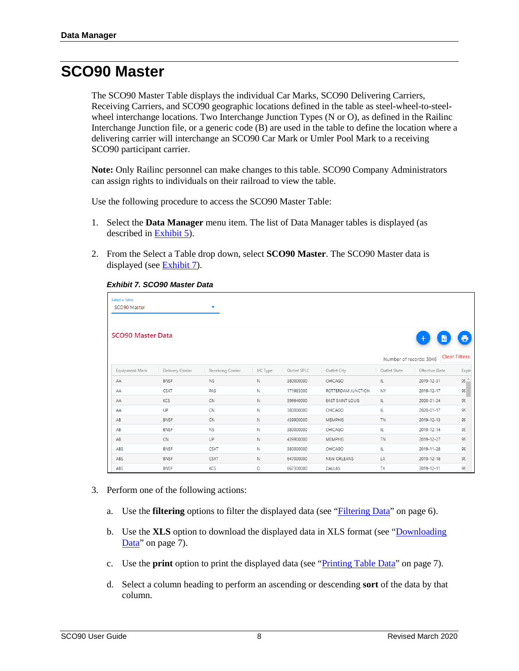#### <span id="page-9-0"></span>**SCO90 Master**

The SCO90 Master Table displays the individual Car Marks, SCO90 Delivering Carriers, Receiving Carriers, and SCO90 geographic locations defined in the table as steel-wheel-to-steelwheel interchange locations. Two Interchange Junction Types (N or O), as defined in the Railinc Interchange Junction file, or a generic code (B) are used in the table to define the location where a delivering carrier will interchange an SCO90 Car Mark or Umler Pool Mark to a receiving SCO90 participant carrier.

**Note:** Only Railinc personnel can make changes to this table. SCO90 Company Administrators can assign rights to individuals on their railroad to view the table.

Use the following procedure to access the SCO90 Master Table:

- 1. Select the **Data Manager** menu item. The list of Data Manager tables is displayed (as described in [Exhibit 5\)](#page-6-2).
- <span id="page-9-1"></span>2. From the Select a Table drop down, select **SCO90 Master**. The SCO90 Master data is displayed (see [Exhibit 7\)](#page-9-1).

| Select a Table<br>SCO90 Master |                  | ۰                 |             |             |                    |              |                         |                      |
|--------------------------------|------------------|-------------------|-------------|-------------|--------------------|--------------|-------------------------|----------------------|
| <b>SCO90 Master Data</b>       |                  |                   |             |             |                    |              | <b>XLS</b>              | ē,                   |
|                                |                  |                   |             |             |                    |              | Number of records: 3046 | <b>Clear Filters</b> |
| Equipment Mark                 | Delivery Carrier | Receiving Carrier | I/C Type    | Outlet SPLC | Outlet City        | Outlet State | <b>Effective Date</b>   | Expir                |
| AA                             | <b>BNSF</b>      | <b>NS</b>         | $\mathbb N$ | 380000000   | CHICAGO            | IL.          | 2019-12-31              | $95 -$               |
| AA                             | CSXT             | PAS               | $\mathbb N$ | 171983000   | ROTTERDAM JUNCTION | NY           | 2019-12-17              | 99                   |
| AA                             | KCS              | CN                | N           | 396640000   | EAST SAINT LOUIS   | IL.          | 2020-01-24              | 99                   |
| AA                             | UP               | CN                | N           | 380000000   | CHICAGO            | IL           | 2020-01-17              | 99                   |
| AB                             | <b>BNSF</b>      | CN                | $\mathbb N$ | 439900000   | <b>MEMPHIS</b>     | <b>TN</b>    | 2019-12-13              | 99                   |
| AB                             | <b>BNSF</b>      | <b>NS</b>         | N           | 380000000   | CHICAGO            | IL           | 2019-12-14              | 99                   |
| AB                             | <b>CN</b>        | UP                | $\mathbb N$ | 439900000   | <b>MEMPHIS</b>     | <b>TN</b>    | 2019-12-27              | 99                   |
| ABS                            | <b>BNSF</b>      | CSXT              | N           | 380000000   | CHICAGO            | IL           | 2019-11-28              | 99                   |
| ABS                            | <b>BNSF</b>      | CSXT              | $\mathbb N$ | 647000000   | NEW ORLEANS        | LA           | 2019-12-18              | 99                   |
| ABS                            | <b>BNSF</b>      | KCS               | O           | 667300000   | DALLAS             | TX           | 2019-12-11              | 99                   |

#### *Exhibit 7. SCO90 Master Data*

- 3. Perform one of the following actions:
	- a. Use the **filtering** options to filter the displayed data (see ["Filtering Data"](#page-7-2) on page [6\)](#page-7-2).
	- b. Use the **XLS** option to download the displayed data in XLS format (see ["Downloading](#page-8-0)  [Data"](#page-8-0) on page [7\)](#page-8-0).
	- c. Use the **print** option to print the displayed data (see ["Printing Table Data"](#page-8-1) on page [7\)](#page-8-1).
	- d. Select a column heading to perform an ascending or descending **sort** of the data by that column.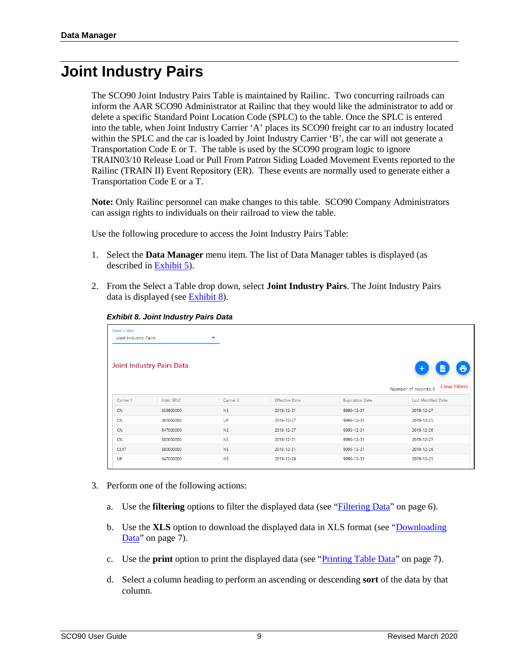#### <span id="page-10-0"></span>**Joint Industry Pairs**

The SCO90 Joint Industry Pairs Table is maintained by Railinc. Two concurring railroads can inform the AAR SCO90 Administrator at Railinc that they would like the administrator to add or delete a specific Standard Point Location Code (SPLC) to the table. Once the SPLC is entered into the table, when Joint Industry Carrier 'A' places its SCO90 freight car to an industry located within the SPLC and the car is loaded by Joint Industry Carrier 'B', the car will not generate a Transportation Code E or T. The table is used by the SCO90 program logic to ignore TRAIN03/10 Release Load or Pull From Patron Siding Loaded Movement Events reported to the Railinc (TRAIN II) Event Repository (ER). These events are normally used to generate either a Transportation Code E or a T.

**Note:** Only Railinc personnel can make changes to this table. SCO90 Company Administrators can assign rights to individuals on their railroad to view the table.

Use the following procedure to access the Joint Industry Pairs Table:

- 1. Select the **Data Manager** menu item. The list of Data Manager tables is displayed (as described in [Exhibit 5\)](#page-6-2).
- <span id="page-10-1"></span>2. From the Select a Table drop down, select **Joint Industry Pairs**. The Joint Industry Pairs data is displayed (see [Exhibit 8\)](#page-10-1).

| Select a Table<br>Joint Industry Pairs                |                   | ▼         |                       |                        |                                              |  |  |
|-------------------------------------------------------|-------------------|-----------|-----------------------|------------------------|----------------------------------------------|--|--|
| <b>Joint Industry Pairs Data</b><br>ō<br>$\pm$<br>xis |                   |           |                       |                        |                                              |  |  |
|                                                       |                   |           |                       |                        | <b>Clear Filters</b><br>Number of records: 6 |  |  |
| Carrier 1                                             | <b>Joint SPLC</b> | Carrier 2 | <b>Effective Date</b> | <b>Expiration Date</b> | <b>Last Modified Date</b>                    |  |  |
| <b>CN</b>                                             | 439900000         | <b>NS</b> | 2019-12-31            | 9999-12-31             | 2019-12-27                                   |  |  |
| <b>CN</b>                                             | 380000000         | UP        | 2019-12-27            | 9999-12-31             | 2019-12-25                                   |  |  |
| <b>CN</b>                                             | 647000000         | <b>NS</b> | 2019-12-27            | 9999-12-31             | 2019-12-26                                   |  |  |
| <b>CN</b>                                             | 380000000         | <b>NS</b> | 2019-12-31            | 9999-12-31             | 2019-12-27                                   |  |  |
| <b>CSXT</b>                                           | 380000000         | <b>NS</b> | 2019-12-31            | 9999-12-31             | 2019-12-26                                   |  |  |
| UP                                                    | 647000000         | <b>NS</b> | 2019-12-28            | 9999-12-31             | 2019-12-25                                   |  |  |

*Exhibit 8. Joint Industry Pairs Data*

- 3. Perform one of the following actions:
	- a. Use the **filtering** options to filter the displayed data (see ["Filtering Data"](#page-7-2) on page [6\)](#page-7-2).
	- b. Use the **XLS** option to download the displayed data in XLS format (see ["Downloading](#page-8-0)  [Data"](#page-8-0) on page [7\)](#page-8-0).
	- c. Use the **print** option to print the displayed data (see ["Printing Table Data"](#page-8-1) on page [7\)](#page-8-1).
	- d. Select a column heading to perform an ascending or descending **sort** of the data by that column.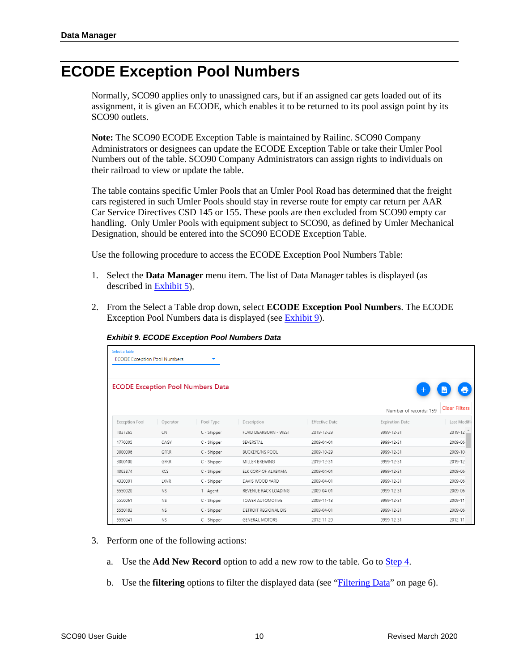#### <span id="page-11-0"></span>**ECODE Exception Pool Numbers**

Normally, SCO90 applies only to unassigned cars, but if an assigned car gets loaded out of its assignment, it is given an ECODE, which enables it to be returned to its pool assign point by its SCO90 outlets.

**Note:** The SCO90 ECODE Exception Table is maintained by Railinc. SCO90 Company Administrators or designees can update the ECODE Exception Table or take their Umler Pool Numbers out of the table. SCO90 Company Administrators can assign rights to individuals on their railroad to view or update the table.

The table contains specific Umler Pools that an Umler Pool Road has determined that the freight cars registered in such Umler Pools should stay in reverse route for empty car return per AAR Car Service Directives CSD 145 or 155. These pools are then excluded from SCO90 empty car handling. Only Umler Pools with equipment subject to SCO90, as defined by Umler Mechanical Designation, should be entered into the SCO90 ECODE Exception Table.

Use the following procedure to access the ECODE Exception Pool Numbers Table:

- 1. Select the **Data Manager** menu item. The list of Data Manager tables is displayed (as described in [Exhibit 5\)](#page-6-2).
- <span id="page-11-1"></span>2. From the Select a Table drop down, select **ECODE Exception Pool Numbers**. The ECODE Exception Pool Numbers data is displayed (see [Exhibit 9\)](#page-11-1).

| Select a Table<br><b>ECODE Exception Pool Numbers</b> |             |                                          |                        |                |                        |                      |
|-------------------------------------------------------|-------------|------------------------------------------|------------------------|----------------|------------------------|----------------------|
|                                                       |             | <b>ECODE Exception Pool Numbers Data</b> |                        |                | ٠                      |                      |
|                                                       |             |                                          |                        |                | Number of records: 159 | <b>Clear Filters</b> |
| <b>Exception Pool</b>                                 | Operator    | Pool Type                                | Description            | Effective Date | <b>Expiration Date</b> | Last Modifie         |
| 1037265                                               | <b>CN</b>   | C - Shipper                              | FORD DEARBORN - WEST   | 2019-12-29     | 9999-12-31             | 2019-12-             |
| 1770005                                               | CAGY        | C - Shipper                              | SEVERSTAL              | 2009-04-01     | 9999-12-31             | 2009-06-             |
| 3000006                                               | GFRR        | C - Shipper                              | <b>BUCKEYE/NS POOL</b> | 2009-10-29     | 9999-12-31             | 2009-10-             |
| 3000100                                               | GFRR        | C - Shipper                              | MILLER BREWING         | 2019-12-31     | 9999-12-31             | $2019 - 12$          |
| 4003874                                               | <b>KCS</b>  | C - Shipper                              | ELK CORP OF ALABAMA    | 2009-04-01     | 9999-12-31             | 2009-06-             |
| 4330001                                               | <b>LXVR</b> | C - Shipper                              | DAVIS WOOD YARD        | 2009-04-01     | 9999-12-31             | 2009-06-             |
| 5550020                                               | NS.         | T - Agent                                | REVENUE RACK LOADING   | 2009-04-01     | 9999-12-31             | 2009-06-             |
| 5550061                                               | NS.         | C - Shipper                              | TOWER AUTOMOTIVE       | 2009-11-13     | 9999-12-31             | $2009 - 11$          |
| 5550183                                               | <b>NS</b>   | C - Shipper                              | DETROIT REGIONAL DIS   | 2009-04-01     | 9999-12-31             | 2009-06-             |
| 5550241                                               | NS.         | C - Shipper                              | <b>GENERAL MOTORS</b>  | 2012-11-29     | 9999-12-31             | $2012 - 11$          |

*Exhibit 9. ECODE Exception Pool Numbers Data*

- <span id="page-11-2"></span>3. Perform one of the following actions:
	- a. Use the **Add New Record** option to add a new row to the table. Go t[o Step 4.](#page-11-2)
	- b. Use the **filtering** options to filter the displayed data (see ["Filtering Data"](#page-7-2) on page [6\)](#page-7-2).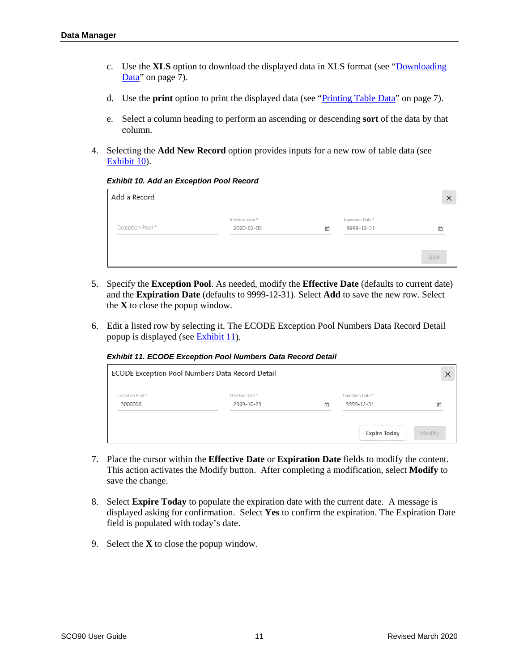- c. Use the **XLS** option to download the displayed data in XLS format (see ["Downloading](#page-8-0)  [Data"](#page-8-0) on page [7\)](#page-8-0).
- d. Use the **print** option to print the displayed data (see ["Printing Table Data"](#page-8-1) on page [7\)](#page-8-1).
- e. Select a column heading to perform an ascending or descending **sort** of the data by that column.
- <span id="page-12-0"></span>4. Selecting the **Add New Record** option provides inputs for a new row of table data (see [Exhibit 10\)](#page-12-0).

#### *Exhibit 10. Add an Exception Pool Record*

| Add a Record     |                                |   |                                |     |
|------------------|--------------------------------|---|--------------------------------|-----|
| Exception Pool * | Effective Date *<br>2020-02-05 | 卣 | Expiration Date*<br>9999-12-31 | п   |
|                  |                                |   |                                | Add |

- 5. Specify the **Exception Pool**. As needed, modify the **Effective Date** (defaults to current date) and the **Expiration Date** (defaults to 9999-12-31). Select **Add** to save the new row. Select the **X** to close the popup window.
- <span id="page-12-1"></span>6. Edit a listed row by selecting it. The ECODE Exception Pool Numbers Data Record Detail popup is displayed (se[e Exhibit 11\)](#page-12-1).

*Exhibit 11. ECODE Exception Pool Numbers Data Record Detail*

|                             | ECODE Exception Pool Numbers Data Record Detail |   |                                 | ×      |
|-----------------------------|-------------------------------------------------|---|---------------------------------|--------|
| Exception Pool *<br>3000006 | Effective Date *<br>2009-10-29                  | г | Expiration Date *<br>9999-12-31 | г      |
|                             |                                                 |   | <b>Expire Today</b>             | Modify |

- 7. Place the cursor within the **Effective Date** or **Expiration Date** fields to modify the content. This action activates the Modify button. After completing a modification, select **Modify** to save the change.
- 8. Select **Expire Today** to populate the expiration date with the current date. A message is displayed asking for confirmation. Select **Yes** to confirm the expiration. The Expiration Date field is populated with today's date.
- 9. Select the **X** to close the popup window.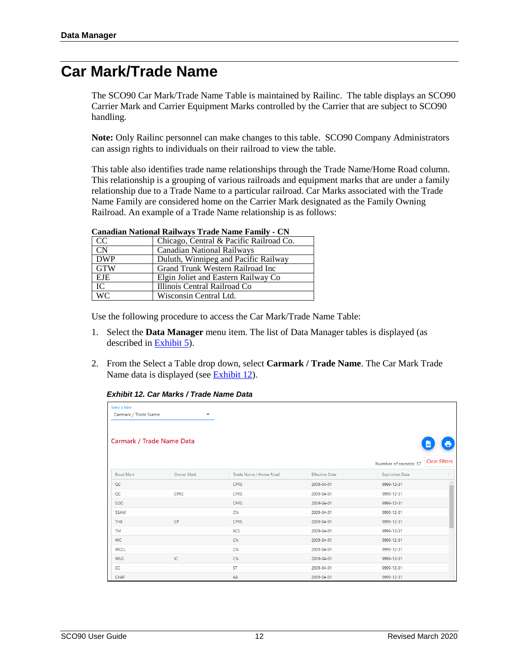#### <span id="page-13-0"></span>**Car Mark/Trade Name**

The SCO90 Car Mark/Trade Name Table is maintained by Railinc. The table displays an SCO90 Carrier Mark and Carrier Equipment Marks controlled by the Carrier that are subject to SCO90 handling.

**Note:** Only Railinc personnel can make changes to this table. SCO90 Company Administrators can assign rights to individuals on their railroad to view the table.

This table also identifies trade name relationships through the Trade Name/Home Road column. This relationship is a grouping of various railroads and equipment marks that are under a family relationship due to a Trade Name to a particular railroad. Car Marks associated with the Trade Name Family are considered home on the Carrier Mark designated as the Family Owning Railroad. An example of a Trade Name relationship is as follows:

|            | Canadian National Railways Trade Name Family - CN |  |  |  |
|------------|---------------------------------------------------|--|--|--|
| CC         | Chicago, Central & Pacific Railroad Co.           |  |  |  |
| <b>CN</b>  | Canadian National Railways                        |  |  |  |
| <b>DWP</b> | Duluth, Winnipeg and Pacific Railway              |  |  |  |
| GTW        | Grand Trunk Western Railroad Inc                  |  |  |  |
| EJE        | Elgin Joliet and Eastern Railway Co               |  |  |  |
| IC         | Illinois Central Railroad Co                      |  |  |  |
|            | Wisconsin Central Ltd.                            |  |  |  |
| <b>WC</b>  |                                                   |  |  |  |

**Canadian National Railways Trade Name Family - CN**

Use the following procedure to access the Car Mark/Trade Name Table:

- 1. Select the **Data Manager** menu item. The list of Data Manager tables is displayed (as described in [Exhibit 5\)](#page-6-2).
- <span id="page-13-1"></span>2. From the Select a Table drop down, select **Carmark / Trade Name**. The Car Mark Trade Name data is displayed (see **Exhibit 12**).

*Exhibit 12. Car Marks / Trade Name Data*

| Select a Table<br>Carmark / Trade Name | ▼                                |                        |                |                                               |
|----------------------------------------|----------------------------------|------------------------|----------------|-----------------------------------------------|
|                                        | <b>Carmark / Trade Name Data</b> |                        |                | $x\bar{s}$                                    |
|                                        |                                  |                        |                | <b>Clear Filters</b><br>Number of records: 37 |
| Road Mark                              | Owner Mark                       | Trade Name / Home Road | Effective Date | <b>Expiration Date</b>                        |
| QC                                     |                                  | CPRS                   | 2009-04-01     | 9999-12-31                                    |
| QC                                     | CPRS                             | CPRS                   | 2009-04-01     | 9999-12-31                                    |
| SOO                                    |                                  | CPRS                   | 2009-04-01     | 9999-12-31                                    |
| SSAM                                   |                                  | CN                     | 2009-04-01     | 9999-12-31                                    |
| THB                                    | CP                               | CPRS                   | 2009-04-01     | 9999-12-31                                    |
| TM                                     |                                  | KCS                    | 2009-04-01     | 9999-12-31                                    |
| WC                                     |                                  | <b>CN</b>              | 2009-04-01     | 9999-12-31                                    |
| WCCL                                   |                                  | CN                     | 2009-04-01     | 9999-12-31                                    |
| <b>WLO</b>                             | IC                               | CN                     | 2009-04-01     | 9999-12-31                                    |
| CC                                     |                                  | <b>ST</b>              | 2009-04-01     | 9999-12-31                                    |
| CHAT                                   |                                  | AB                     | 2009-04-01     | 9999-12-31                                    |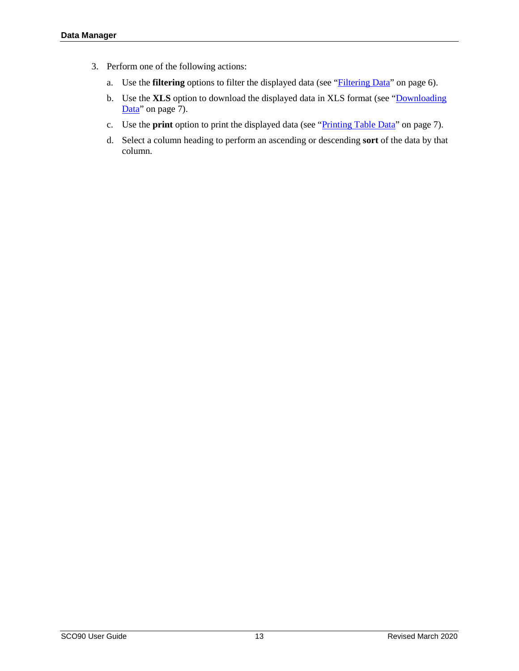- 3. Perform one of the following actions:
	- a. Use the **filtering** options to filter the displayed data (see "*Filtering Data*" on page [6\)](#page-7-2).
	- b. Use the **XLS** option to download the displayed data in XLS format (see ["Downloading](#page-8-0)  [Data"](#page-8-0) on page [7\)](#page-8-0).
	- c. Use the **print** option to print the displayed data (see ["Printing Table Data"](#page-8-1) on page [7\)](#page-8-1).
	- d. Select a column heading to perform an ascending or descending **sort** of the data by that column.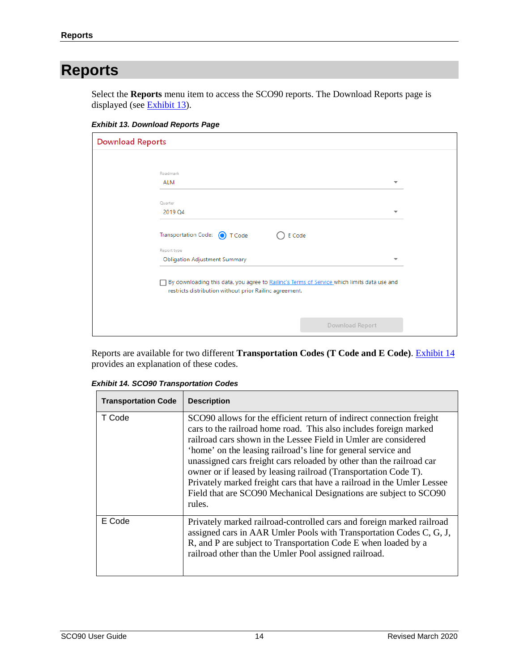### <span id="page-15-0"></span>**Reports**

Select the **Reports** menu item to access the SCO90 reports. The Download Reports page is displayed (see **Exhibit 13**).

<span id="page-15-1"></span>*Exhibit 13. Download Reports Page*

| <b>Download Reports</b>                                                                                                                                |                 |  |  |
|--------------------------------------------------------------------------------------------------------------------------------------------------------|-----------------|--|--|
|                                                                                                                                                        |                 |  |  |
| Roadmark                                                                                                                                               |                 |  |  |
| <b>ALM</b>                                                                                                                                             | ᅮ               |  |  |
| Quarter                                                                                                                                                |                 |  |  |
| 2019 Q4                                                                                                                                                | ▼               |  |  |
|                                                                                                                                                        |                 |  |  |
| Transportation Code: 1 Code                                                                                                                            | E Code          |  |  |
| Report type                                                                                                                                            |                 |  |  |
| <b>Obligation Adjustment Summary</b>                                                                                                                   | ▼               |  |  |
| By downloading this data, you agree to Railinc's Terms of Service which limits data use and<br>restricts distribution without prior Railinc agreement. |                 |  |  |
|                                                                                                                                                        | Download Report |  |  |

Reports are available for two different **Transportation Codes (T Code and E Code)**. [Exhibit 14](#page-15-2) provides an explanation of these codes.

| <b>Transportation Code</b> | <b>Description</b>                                                                                                                                                                                                                                                                                                                                                                                                                                                                                                                                                                |
|----------------------------|-----------------------------------------------------------------------------------------------------------------------------------------------------------------------------------------------------------------------------------------------------------------------------------------------------------------------------------------------------------------------------------------------------------------------------------------------------------------------------------------------------------------------------------------------------------------------------------|
| T Code                     | SCO90 allows for the efficient return of indirect connection freight<br>cars to the railroad home road. This also includes foreign marked<br>railroad cars shown in the Lessee Field in Umler are considered<br>'home' on the leasing railroad's line for general service and<br>unassigned cars freight cars reloaded by other than the railroad car<br>owner or if leased by leasing railroad (Transportation Code T).<br>Privately marked freight cars that have a railroad in the Umler Lessee<br>Field that are SCO90 Mechanical Designations are subject to SCO90<br>rules. |
| E Code                     | Privately marked railroad-controlled cars and foreign marked railroad<br>assigned cars in AAR Umler Pools with Transportation Codes C, G, J,<br>R, and P are subject to Transportation Code E when loaded by a<br>railroad other than the Umler Pool assigned railroad.                                                                                                                                                                                                                                                                                                           |

<span id="page-15-2"></span>*Exhibit 14. SCO90 Transportation Codes*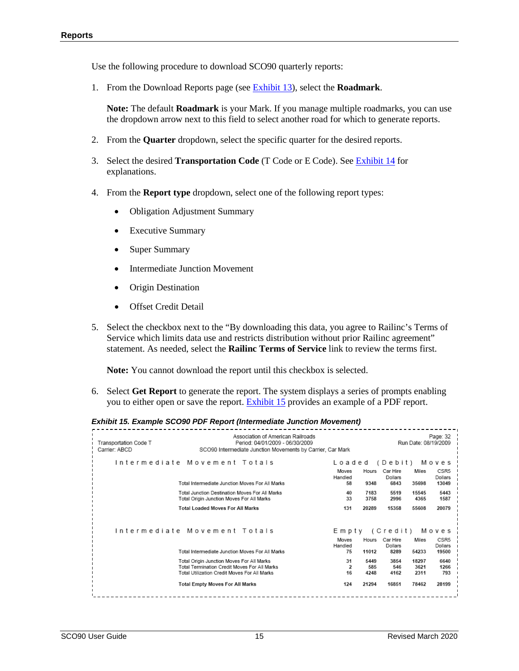Use the following procedure to download SCO90 quarterly reports:

1. From the Download Reports page (see [Exhibit 13\)](#page-15-1), select the **Roadmark**.

**Note:** The default **Roadmark** is your Mark. If you manage multiple roadmarks, you can use the dropdown arrow next to this field to select another road for which to generate reports.

- 2. From the **Quarter** dropdown, select the specific quarter for the desired reports.
- 3. Select the desired **Transportation Code** (T Code or E Code). See [Exhibit 14](#page-15-2) for explanations.
- 4. From the **Report type** dropdown, select one of the following report types:
	- Obligation Adjustment Summary
	- Executive Summary
	- Super Summary
	- **Intermediate Junction Movement**
	- Origin Destination
	- **Offset Credit Detail**
- 5. Select the checkbox next to the "By downloading this data, you agree to Railinc's Terms of Service which limits data use and restricts distribution without prior Railinc agreement" statement. As needed, select the **Railinc Terms of Service** link to review the terms first.

**Note:** You cannot download the report until this checkbox is selected.

6. Select **Get Report** to generate the report. The system displays a series of prompts enabling you to either open or save the report[. Exhibit 15](#page-16-0) provides an example of a PDF report.

#### <span id="page-16-0"></span>*Exhibit 15. Example SCO90 PDF Report (Intermediate Junction Movement)*

| Transportation Code T<br>Carrier: ABCD | Association of American Railroads<br>Period: 04/01/2009 - 06/30/2009<br>SCO90 Intermediate Junction Movements by Carrier, Car Mark        |                                  |                     |                                        | Run Date: 08/19/2009  | Page: 32                                      |
|----------------------------------------|-------------------------------------------------------------------------------------------------------------------------------------------|----------------------------------|---------------------|----------------------------------------|-----------------------|-----------------------------------------------|
|                                        | Intermediate Movement Totals<br>Total Intermediate Junction Moves For All Marks                                                           | Loaded<br>Moves<br>Handled<br>58 | Hours<br>9348       | (Debit)<br>Car Hire<br>Dollars<br>6843 | Miles<br>35698        | Moves<br>CSR <sub>5</sub><br>Dollars<br>13049 |
|                                        | Total Junction Destination Moves For All Marks<br>Total Origin Junction Moves For All Marks                                               | 40<br>33                         | 7183<br>3758        | 5519<br>2996                           | 15545<br>4365         | 5443<br>1587                                  |
|                                        | <b>Total Loaded Moves For All Marks</b>                                                                                                   | 131                              | 20289               | 15358                                  | 55608                 | 20079                                         |
|                                        | Intermediate Movement Totals                                                                                                              | Moves                            | Hours               | Empty (Credit) Moves<br>Car Hire       | Miles                 | CSR5                                          |
|                                        | Total Intermediate Junction Moves For All Marks                                                                                           | Handled<br>75                    | 11012               | Dollars<br>8289                        | 54233                 | Dollars<br>19500                              |
|                                        | Total Origin Junction Moves For All Marks<br>Total Termination Credit Moves For All Marks<br>Total Utilization Credit Moves For All Marks | 31<br>$\mathbf{z}$<br>16         | 5449<br>585<br>4248 | 3854<br>546<br>4162                    | 18297<br>3621<br>2311 | 6640<br>1266<br>793                           |
|                                        | <b>Total Empty Moves For All Marks</b>                                                                                                    | 124                              | 21294               | 16851                                  | 78462                 | 28199                                         |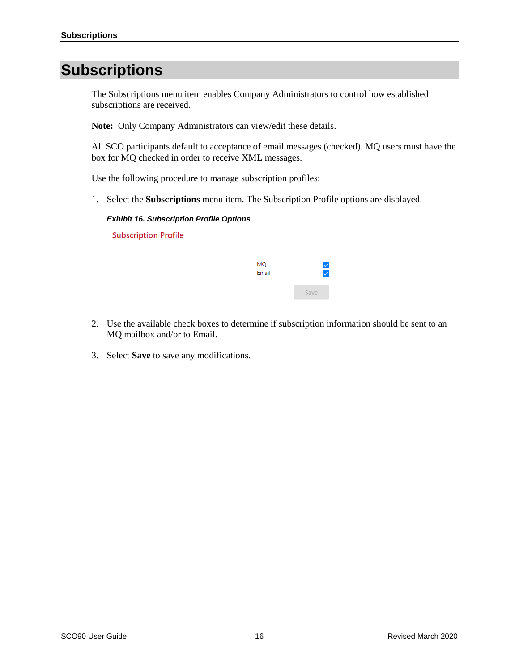### <span id="page-17-0"></span>**Subscriptions**

The Subscriptions menu item enables Company Administrators to control how established subscriptions are received.

**Note:** Only Company Administrators can view/edit these details.

All SCO participants default to acceptance of email messages (checked). MQ users must have the box for MQ checked in order to receive XML messages.

Use the following procedure to manage subscription profiles:

<span id="page-17-1"></span>1. Select the **Subscriptions** menu item. The Subscription Profile options are displayed.

#### *Exhibit 16. Subscription Profile Options*

| <b>Subscription Profile</b> |             |                            |  |  |
|-----------------------------|-------------|----------------------------|--|--|
|                             | MQ<br>Email | $\checkmark$<br>$\backsim$ |  |  |
|                             |             | Save                       |  |  |

- 2. Use the available check boxes to determine if subscription information should be sent to an MQ mailbox and/or to Email.
- 3. Select **Save** to save any modifications.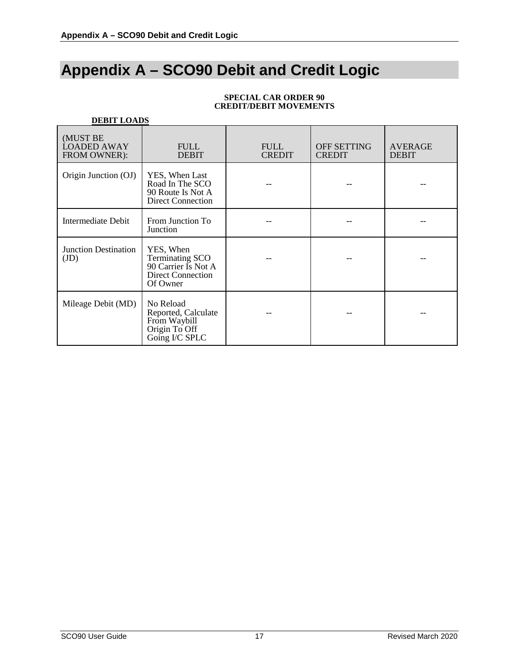## <span id="page-18-0"></span>**Appendix A – SCO90 Debit and Credit Logic**

| <b>DEBIT LOADS</b>                             |                                                                                                    |                              |                              |                                |  |
|------------------------------------------------|----------------------------------------------------------------------------------------------------|------------------------------|------------------------------|--------------------------------|--|
| (MUST BE<br><b>LOADED AWAY</b><br>FROM OWNER): | <b>FULL</b><br><b>DEBIT</b>                                                                        | <b>FULL</b><br><b>CREDIT</b> | OFF SETTING<br><b>CREDIT</b> | <b>AVERAGE</b><br><b>DEBIT</b> |  |
| Origin Junction (OJ)                           | YES, When Last<br>Road In The SCO<br>90 Route Is Not A<br><b>Direct Connection</b>                 |                              |                              |                                |  |
| <b>Intermediate Debit</b>                      | From Junction To<br>Junction                                                                       |                              |                              |                                |  |
| <b>Junction Destination</b><br>(JD)            | YES, When<br><b>Terminating SCO</b><br>90 Carrier Is Not A<br><b>Direct Connection</b><br>Of Owner |                              |                              |                                |  |
| Mileage Debit (MD)                             | No Reload<br>Reported, Calculate<br>From Waybill<br>Origin To Off<br>Going I/C SPLC                |                              |                              |                                |  |

#### **SPECIAL CAR ORDER 90 CREDIT/DEBIT MOVEMENTS**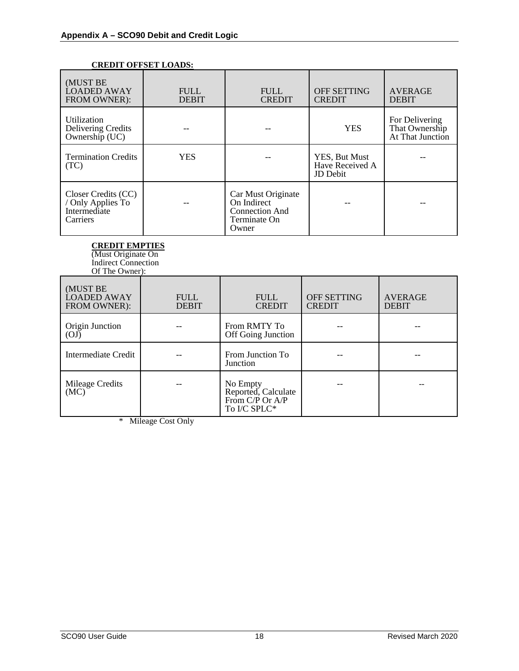| UKEDIT OFFSET LOADS:                                                 |                             |                                                                                     |                                                     |                                                      |  |
|----------------------------------------------------------------------|-----------------------------|-------------------------------------------------------------------------------------|-----------------------------------------------------|------------------------------------------------------|--|
| (MUST BE<br><b>LOADED AWAY</b><br>FROM OWNER):                       | <b>FULL</b><br><b>DEBIT</b> | <b>FULL</b><br><b>CREDIT</b>                                                        | <b>OFF SETTING</b><br><b>CREDIT</b>                 | <b>AVERAGE</b><br><b>DEBIT</b>                       |  |
| Utilization<br>Delivering Credits<br>Ownership (UC)                  |                             |                                                                                     | <b>YES</b>                                          | For Delivering<br>That Ownership<br>At That Junction |  |
| <b>Termination Credits</b><br>(TC)                                   | <b>YES</b>                  |                                                                                     | YES, But Must<br>Have Received A<br><b>JD</b> Debit |                                                      |  |
| Closer Credits (CC)<br>/ Only Applies To<br>Intermediate<br>Carriers |                             | Car Must Originate<br>On Indirect<br><b>Connection And</b><br>Terminate On<br>Owner |                                                     |                                                      |  |

#### **CREDIT OFFSET LOADS:**

**CREDIT EMPTIES**

(Must Originate On Indirect Connection Of The Owner):

| $U_1$ inv $U_2$ which $U_2$                    |                             |                                                                    |                              |                                |
|------------------------------------------------|-----------------------------|--------------------------------------------------------------------|------------------------------|--------------------------------|
| (MUST BE<br><b>LOADED AWAY</b><br>FROM OWNER): | <b>FULL</b><br><b>DEBIT</b> | <b>FULL</b><br><b>CREDIT</b>                                       | OFF SETTING<br><b>CREDIT</b> | <b>AVERAGE</b><br><b>DEBIT</b> |
| Origin Junction<br>(OJ)                        |                             | From RMTY To<br>Off Going Junction                                 |                              |                                |
| Intermediate Credit                            |                             | From Junction To<br>Junction                                       |                              |                                |
| Mileage Credits<br>(MC)                        |                             | No Empty<br>Reported, Calculate<br>From C/P Or A/P<br>To I/C SPLC* |                              |                                |

\* Mileage Cost Only